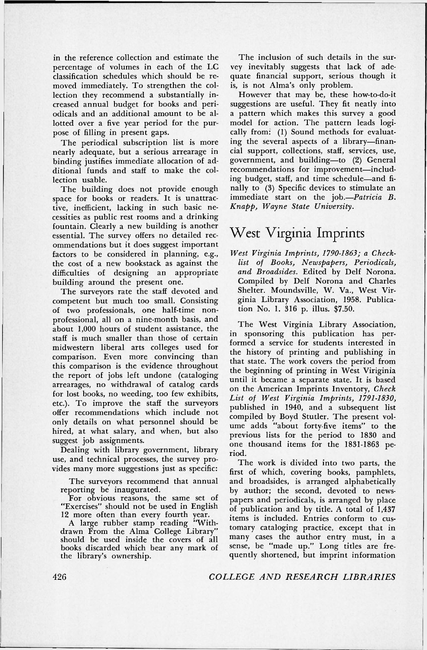in the reference collection and estimate the percentage of volumes in each of the LC classification schedules which should be removed immediately. To strengthen the collection they recommend a substantially increased annual budget for books and periodicals and an additional amount to be allotted over a five year period for the purpose of filling in present gaps.

The periodical subscription list is more nearly adequate, but a serious arrearage in binding justifies immediate allocation of additional funds and staff to make the collection usable.

The building does not provide enough space for books or readers. It is unattractive, inefficient, lacking in such basic necessities as public rest rooms and a drinking fountain. Clearly a new building is another essential. The survey offers no detailed recommendations but it does suggest important factors to be considered in planning, e.g., the cost of a new bookstack as against the difficulties of designing an appropriate building around the present one.

The surveyors rate the staff devoted and competent but much too small. Consisting of two professionals, one half-time nonprofessional, all on a nine-month basis, and about 1,000 hours of student assistance, the staff is much smaller than those of certain midwestern liberal arts colleges used for comparison. Even more convincing than this comparison is the evidence throughout the report of jobs left undone (cataloging arrearages, no withdrawal of catalog cards for lost books, no weeding, too few exhibits, etc.). To improve the staff the surveyors offer recommendations which include not only details on what personnel should be hired, at what salary, and when, but also suggest job assignments.

Dealing with library government, library use, and technical processes, the survey provides many more suggestions just as specific:

The surveyors recommend that annual reporting be inaugurated.

For obvious reasons, the same set of "Exercises" should not be used in English 12 more often than every fourth year.

A large rubber stamp reading "Withdrawn From the Alma College Library" should be used inside the covers of all books discarded which bear any mark of the library's ownership.

The inclusion of such details in the survey inevitably suggests that lack of adequate financial support, serious though it is, is not Alma's only problem.

However that may be, these how-to-do-it suggestions are useful. They fit neatly into a pattern which makes this survey a good model for action. The pattern leads logically from: (1) Sound methods for evaluating the several aspects of a library—financial support, collections, staff, services, use, government, and building—to (2) General recommendations for improvement-including budget, staff, and time schedule—and finally to (3) Specific devices to stimulate an immediate start on the job.-*Patricia B*. *Knapp, Wayne State University.* 

## West Virginia Imprints

*West Virginia Imprints, 1790-1863; a Checklist of Books, Newspapers, Periodicals,*  and Broadsides. Edited by Delf Norona. Compiled by Delf Norona and Charles Shelter. Moundsville, W. Va., West Virginia Library Association, 1958. Publication No. 1. 316 p. illus. \$7.50.

The West Virginia Library Association, in sponsoring this publication has performed a service for students interested in the history of printing and publishing in that state. The work covers the period from the beginning of printing in West Viriginia until it became a separate state. It is based on the American Imprints Inventory, *Check List of West Virginia Imprints, 1791-1830,*  published in 1940, and a subsequent list compiled by Boyd Stutler. The present volume adds "about forty-five items" to the previous lists for the period to 1830 and one thousand items for the 1831-1863 period.

The work is divided into two parts, the first of which, covering books, pamphlets, and broadsides, is arranged alphabetically by author; the second, devoted to newspapers and periodicals, is arranged by place of publication and by title. A total of 1,437 items is included. Entries conform to customary cataloging practice, except that in many cases the author entry must, in a sense, be "made up." Long titles are frequently shortened, but imprint information

426 *COLLEGE AND RESEARCH LIBRARIES*